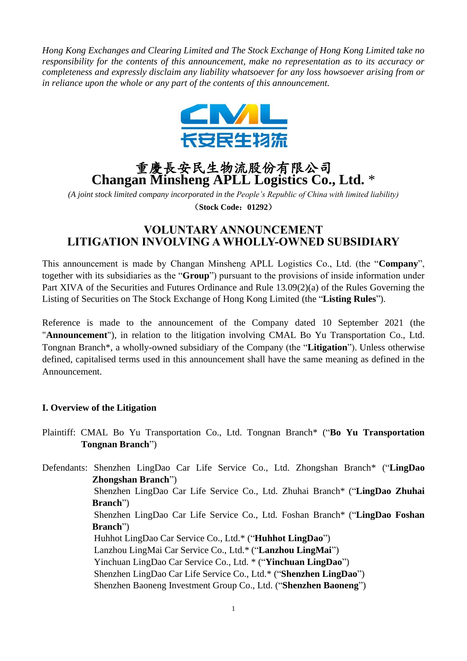*Hong Kong Exchanges and Clearing Limited and The Stock Exchange of Hong Kong Limited take no responsibility for the contents of this announcement, make no representation as to its accuracy or completeness and expressly disclaim any liability whatsoever for any loss howsoever arising from or in reliance upon the whole or any part of the contents of this announcement.*



# 重慶長安民生物流股份有限公司 **Changan Minsheng APLL Logistics Co., Ltd.** \*

*(A joint stock limited company incorporated in the People's Republic of China with limited liability)* (**Stock Code**:**01292**)

## **VOLUNTARY ANNOUNCEMENT LITIGATION INVOLVING A WHOLLY-OWNED SUBSIDIARY**

This announcement is made by Changan Minsheng APLL Logistics Co., Ltd. (the "**Company**", together with its subsidiaries as the "**Group**") pursuant to the provisions of inside information under Part XIVA of the Securities and Futures Ordinance and Rule 13.09(2)(a) of the Rules Governing the Listing of Securities on The Stock Exchange of Hong Kong Limited (the "**Listing Rules**").

Reference is made to the announcement of the Company dated 10 September 2021 (the "**Announcement**"), in relation to the litigation involving CMAL Bo Yu Transportation Co., Ltd. Tongnan Branch\*, a wholly-owned subsidiary of the Company (the "**Litigation**"). Unless otherwise defined, capitalised terms used in this announcement shall have the same meaning as defined in the Announcement.

#### **I. Overview of the Litigation**

Plaintiff: CMAL Bo Yu Transportation Co., Ltd. Tongnan Branch\* ("**Bo Yu Transportation Tongnan Branch**")

Defendants: Shenzhen LingDao Car Life Service Co., Ltd. Zhongshan Branch\* ("**LingDao Zhongshan Branch**") Shenzhen LingDao Car Life Service Co., Ltd. Zhuhai Branch\* ("**LingDao Zhuhai Branch**") Shenzhen LingDao Car Life Service Co., Ltd. Foshan Branch\* ("**LingDao Foshan Branch**") Huhhot LingDao Car Service Co., Ltd.\* ("**Huhhot LingDao**") Lanzhou LingMai Car Service Co., Ltd.\* ("**Lanzhou LingMai**") Yinchuan LingDao Car Service Co., Ltd. \* ("**Yinchuan LingDao**") Shenzhen LingDao Car Life Service Co., Ltd.\* ("**Shenzhen LingDao**") Shenzhen Baoneng Investment Group Co., Ltd. ("**Shenzhen Baoneng**")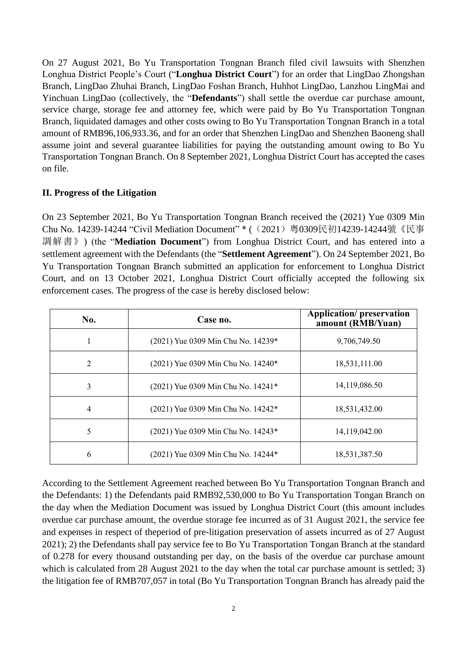On 27 August 2021, Bo Yu Transportation Tongnan Branch filed civil lawsuits with Shenzhen Longhua District People's Court ("**Longhua District Court**") for an order that LingDao Zhongshan Branch, LingDao Zhuhai Branch, LingDao Foshan Branch, Huhhot LingDao, Lanzhou LingMai and Yinchuan LingDao (collectively, the "**Defendants**") shall settle the overdue car purchase amount, service charge, storage fee and attorney fee, which were paid by Bo Yu Transportation Tongnan Branch, liquidated damages and other costs owing to Bo Yu Transportation Tongnan Branch in a total amount of RMB96,106,933.36, and for an order that Shenzhen LingDao and Shenzhen Baoneng shall assume joint and several guarantee liabilities for paying the outstanding amount owing to Bo Yu Transportation Tongnan Branch. On 8 September 2021, Longhua District Court has accepted the cases on file.

#### **II. Progress of the Litigation**

On 23 September 2021, Bo Yu Transportation Tongnan Branch received the (2021) Yue 0309 Min Chu No. 14239-14244 "Civil Mediation Document" \* ((2021)粤0309民初14239-14244號《民事 調解書》) (the "**Mediation Document**") from Longhua District Court, and has entered into a settlement agreement with the Defendants (the "**Settlement Agreement**"). On 24 September 2021, Bo Yu Transportation Tongnan Branch submitted an application for enforcement to Longhua District Court, and on 13 October 2021, Longhua District Court officially accepted the following six enforcement cases. The progress of the case is hereby disclosed below:

| No. | Case no.                           | <b>Application/preservation</b><br>amount (RMB/Yuan) |
|-----|------------------------------------|------------------------------------------------------|
|     | (2021) Yue 0309 Min Chu No. 14239* | 9,706,749.50                                         |
| 2   | (2021) Yue 0309 Min Chu No. 14240* | 18,531,111.00                                        |
| 3   | (2021) Yue 0309 Min Chu No. 14241* | 14,119,086.50                                        |
| 4   | (2021) Yue 0309 Min Chu No. 14242* | 18,531,432.00                                        |
| 5   | (2021) Yue 0309 Min Chu No. 14243* | 14,119,042.00                                        |
| 6   | (2021) Yue 0309 Min Chu No. 14244* | 18,531,387.50                                        |

According to the Settlement Agreement reached between Bo Yu Transportation Tongnan Branch and the Defendants: 1) the Defendants paid RMB92,530,000 to Bo Yu Transportation Tongan Branch on the day when the Mediation Document was issued by Longhua District Court (this amount includes overdue car purchase amount, the overdue storage fee incurred as of 31 August 2021, the service fee and expenses in respect of theperiod of pre-litigation preservation of assets incurred as of 27 August 2021); 2) the Defendants shall pay service fee to Bo Yu Transportation Tongan Branch at the standard of 0.278 for every thousand outstanding per day, on the basis of the overdue car purchase amount which is calculated from 28 August 2021 to the day when the total car purchase amount is settled; 3) the litigation fee of RMB707,057 in total (Bo Yu Transportation Tongnan Branch has already paid the